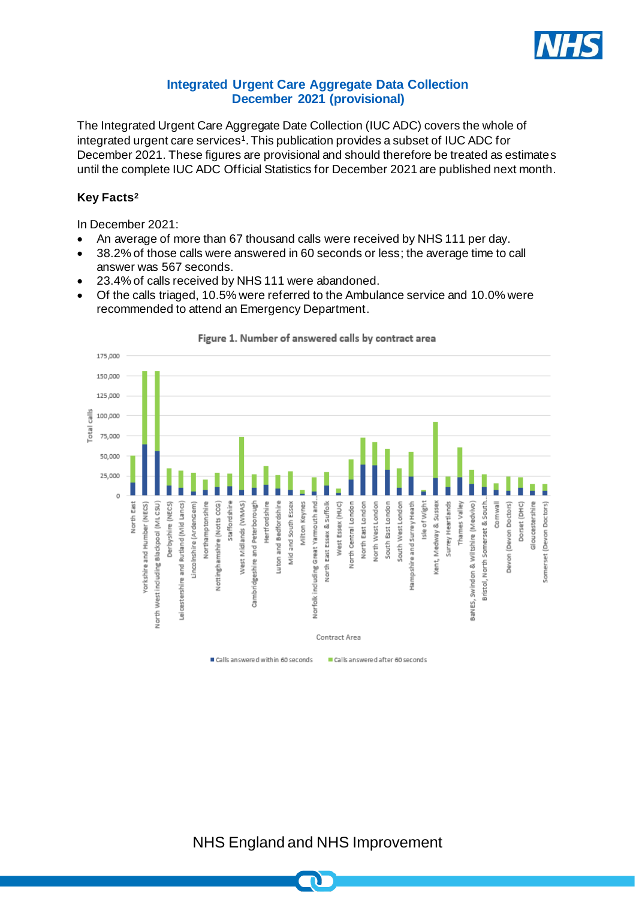

## **Integrated Urgent Care Aggregate Data Collection December 2021 (provisional)**

The Integrated Urgent Care Aggregate Date Collection (IUC ADC) covers the whole of integrated urgent care services<sup>1</sup>. This publication provides a subset of IUC ADC for December 2021. These figures are provisional and should therefore be treated as estimates until the complete IUC ADC Official Statistics for December 2021 are published next month.

## **Key Facts<sup>2</sup>**

In December 2021:

- An average of more than 67 thousand calls were received by NHS 111 per day.
- 38.2% of those calls were answered in 60 seconds or less; the average time to call answer was 567 seconds.
- 23.4% of calls received by NHS 111 were abandoned.
- Of the calls triaged, 10.5% were referred to the Ambulance service and 10.0% were recommended to attend an Emergency Department.



Figure 1. Number of answered calls by contract area

NHS England and NHS Improvement